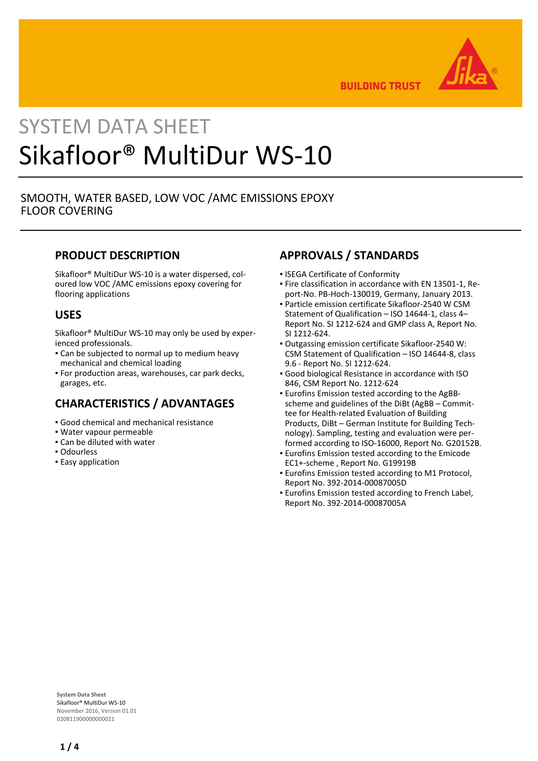

**BUILDING TRUST** 

# SYSTEM DATA SHEET Sikafloor® MultiDur WS-10

## SMOOTH, WATER BASED, LOW VOC /AMC EMISSIONS EPOXY FLOOR COVERING

## **PRODUCT DESCRIPTION**

Sikafloor® MultiDur WS-10 is a water dispersed, coloured low VOC /AMC emissions epoxy covering for flooring applications

## **USES**

Sikafloor® MultiDur WS-10 may only be used by experienced professionals.

- Can be subjected to normal up to medium heavy mechanical and chemical loading
- For production areas, warehouses, car park decks, garages, etc.

## **CHARACTERISTICS / ADVANTAGES**

- Good chemical and mechanical resistance
- Water vapour permeable
- Can be diluted with water
- Odourless
- **Easy application**

# **APPROVALS / STANDARDS**

- ISEGA Certificate of Conformity
- Fire classification in accordance with EN 13501-1, Re-▪ port-No. PB-Hoch-130019, Germany, January 2013.
- Particle emission certificate Sikafloor-2540 W CSM Statement of Qualification – ISO 14644-1, class 4– Report No. SI 1212-624 and GMP class A, Report No. SI 1212-624.
- Outgassing emission certificate Sikafloor-2540 W: CSM Statement of Qualification – ISO 14644-8, class 9.6 - Report No. SI 1212-624.
- Good biological Resistance in accordance with ISO 846, CSM Report No. 1212-624
- **Eurofins Emission tested according to the AgBB**scheme and guidelines of the DiBt (AgBB – Committee for Health-related Evaluation of Building Products, DiBt – German Institute for Building Technology). Sampling, testing and evaluation were performed according to ISO-16000, Report No. G20152B.
- **Eurofins Emission tested according to the Emicode** EC1+-scheme , Report No. G19919B
- **Eurofins Emission tested according to M1 Protocol,** Report No. 392-2014-00087005D
- **Eurofins Emission tested according to French Label,** Report No. 392-2014-00087005A

**System Data Sheet** Sikafloor® MultiDur WS-10 November 2016, Version 01.01 020811900000000021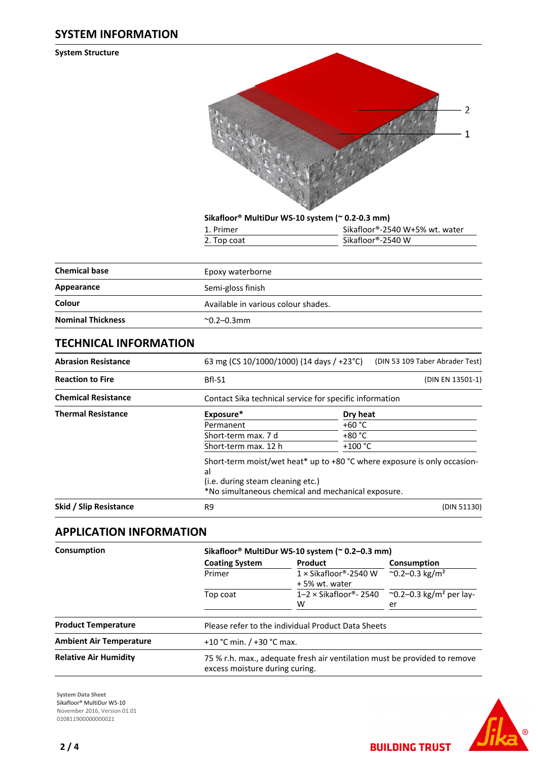## **SYSTEM INFORMATION**

**System Structure**



**Sikafloor® MultiDur WS-10 system (~ 0.2-0.3 mm)**

| 1. Primer   | Sikafloor®-2540 W+5% wt. water |
|-------------|--------------------------------|
| 2. Top coat | Sikafloor®-2540 W              |

| <b>Chemical base</b>     | Epoxy waterborne                    |
|--------------------------|-------------------------------------|
| Appearance               | Semi-gloss finish                   |
| Colour                   | Available in various colour shades. |
| <b>Nominal Thickness</b> | $^{\sim}$ 0.2–0.3mm                 |

## **TECHNICAL INFORMATION**

| <b>Abrasion Resistance</b> |                                                                                                                                                                           | (DIN 53 109 Taber Abrader Test)<br>63 mg (CS 10/1000/1000) (14 days / +23 °C) |                  |  |  |
|----------------------------|---------------------------------------------------------------------------------------------------------------------------------------------------------------------------|-------------------------------------------------------------------------------|------------------|--|--|
| <b>Reaction to Fire</b>    | Bfl-S1                                                                                                                                                                    |                                                                               | (DIN EN 13501-1) |  |  |
| <b>Chemical Resistance</b> | Contact Sika technical service for specific information                                                                                                                   |                                                                               |                  |  |  |
| <b>Thermal Resistance</b>  | Exposure*                                                                                                                                                                 | Dry heat                                                                      |                  |  |  |
|                            | Permanent                                                                                                                                                                 | $+60 °C$                                                                      |                  |  |  |
|                            | Short-term max. 7 d                                                                                                                                                       | $+80 °C$                                                                      |                  |  |  |
|                            | Short-term max. 12 h                                                                                                                                                      | $+100 °C$                                                                     |                  |  |  |
|                            | Short-term moist/wet heat* up to +80 °C where exposure is only occasion-<br>al<br>(i.e. during steam cleaning etc.)<br>*No simultaneous chemical and mechanical exposure. |                                                                               |                  |  |  |
| Skid / Slip Resistance     | R9                                                                                                                                                                        |                                                                               | (DIN 51130)      |  |  |

## **APPLICATION INFORMATION**

| Consumption                    |                             | Sikafloor® MultiDur WS-10 system (~ 0.2-0.3 mm)                                                             |                                                     |  |  |  |  |
|--------------------------------|-----------------------------|-------------------------------------------------------------------------------------------------------------|-----------------------------------------------------|--|--|--|--|
|                                | <b>Coating System</b>       | Product                                                                                                     | Consumption<br>$^{\circ}$ 0.2–0.3 kg/m <sup>2</sup> |  |  |  |  |
|                                | Primer                      | $1 \times$ Sikafloor®-2540 W<br>+5% wt. water                                                               |                                                     |  |  |  |  |
|                                | Top coat                    | $1-2 \times$ Sikafloor®- 2540<br>W                                                                          |                                                     |  |  |  |  |
| <b>Product Temperature</b>     |                             | Please refer to the individual Product Data Sheets                                                          |                                                     |  |  |  |  |
| <b>Ambient Air Temperature</b> | +10 °C min. $/$ +30 °C max. |                                                                                                             |                                                     |  |  |  |  |
| <b>Relative Air Humidity</b>   |                             | 75 % r.h. max., adequate fresh air ventilation must be provided to remove<br>excess moisture during curing. |                                                     |  |  |  |  |

**System Data Sheet** Sikafloor® MultiDur WS-10 November 2016, Version 01.01 020811900000000021



**BUILDING TRUST**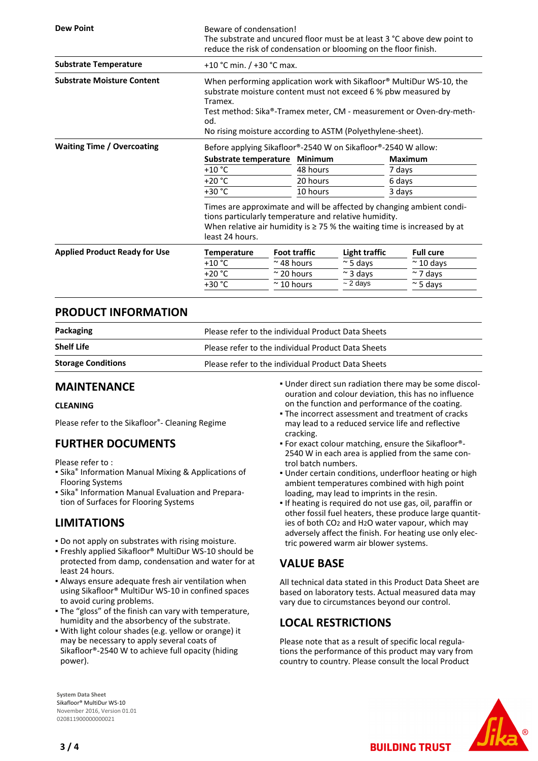| <b>Dew Point</b>                     | Beware of condensation!<br>The substrate and uncured floor must be at least 3 °C above dew point to<br>reduce the risk of condensation or blooming on the floor finish.                                                                                                                       |                             |                     |                  |                  |                   |  |
|--------------------------------------|-----------------------------------------------------------------------------------------------------------------------------------------------------------------------------------------------------------------------------------------------------------------------------------------------|-----------------------------|---------------------|------------------|------------------|-------------------|--|
| <b>Substrate Temperature</b>         |                                                                                                                                                                                                                                                                                               | +10 °C min. $/$ +30 °C max. |                     |                  |                  |                   |  |
| <b>Substrate Moisture Content</b>    | When performing application work with Sikafloor® MultiDur WS-10, the<br>substrate moisture content must not exceed 6 % pbw measured by<br>Tramex.<br>Test method: Sika®-Tramex meter, CM - measurement or Oven-dry-meth-<br>od.<br>No rising moisture according to ASTM (Polyethylene-sheet). |                             |                     |                  |                  |                   |  |
| <b>Waiting Time / Overcoating</b>    | Before applying Sikafloor®-2540 W on Sikafloor®-2540 W allow:                                                                                                                                                                                                                                 |                             |                     |                  |                  |                   |  |
|                                      |                                                                                                                                                                                                                                                                                               | Substrate temperature       |                     | Minimum          |                  | <b>Maximum</b>    |  |
|                                      | +10 $^{\circ}$ C                                                                                                                                                                                                                                                                              |                             |                     | 48 hours         |                  | 7 days            |  |
|                                      | $+20 °C$                                                                                                                                                                                                                                                                                      |                             |                     | 20 hours         |                  | 6 days            |  |
|                                      | +30 °C                                                                                                                                                                                                                                                                                        |                             |                     | 10 hours         |                  | 3 days            |  |
|                                      | Times are approximate and will be affected by changing ambient condi-<br>tions particularly temperature and relative humidity.<br>When relative air humidity is $\geq$ 75 % the waiting time is increased by at<br>least 24 hours.                                                            |                             |                     |                  |                  |                   |  |
| <b>Applied Product Ready for Use</b> | <b>Temperature</b>                                                                                                                                                                                                                                                                            |                             | <b>Foot traffic</b> | Light traffic    |                  | <b>Full cure</b>  |  |
|                                      | $+10 °C$                                                                                                                                                                                                                                                                                      | $~\sim$ 48 hours            |                     | $\approx$ 5 days |                  | $\approx$ 10 days |  |
|                                      | $+20 °C$                                                                                                                                                                                                                                                                                      | $\approx$ 20 hours          |                     | $\sim$ 3 days    |                  | $\sim$ 7 days     |  |
|                                      | +30 °C                                                                                                                                                                                                                                                                                        | $\approx$ 10 hours          | $\sim$ 2 days       |                  | $\approx$ 5 days |                   |  |

## **PRODUCT INFORMATION**

| Packaging                 | Please refer to the individual Product Data Sheets |  |
|---------------------------|----------------------------------------------------|--|
| <b>Shelf Life</b>         | Please refer to the individual Product Data Sheets |  |
| <b>Storage Conditions</b> | Please refer to the individual Product Data Sheets |  |

## **MAINTENANCE**

### **CLEANING**

Please refer to the Sikafloor®- Cleaning Regime

## **FURTHER DOCUMENTS**

Please refer to :

- **E** Sika<sup>®</sup> Information Manual Mixing & Applications of Flooring Systems
- **E** Sika<sup>®</sup> Information Manual Evaluation and Preparation of Surfaces for Flooring Systems

## **LIMITATIONS**

- Do not apply on substrates with rising moisture.
- Freshly applied Sikafloor® MultiDur WS-10 should be protected from damp, condensation and water for at least 24 hours.
- Always ensure adequate fresh air ventilation when using Sikafloor® MultiDur WS-10 in confined spaces to avoid curing problems.
- The "gloss" of the finish can vary with temperature, humidity and the absorbency of the substrate.
- . With light colour shades (e.g. yellow or orange) it may be necessary to apply several coats of Sikafloor®-2540 W to achieve full opacity (hiding power).
- Under direct sun radiation there may be some discol-▪ ouration and colour deviation, this has no influence on the function and performance of the coating.
- **The incorrect assessment and treatment of cracks** may lead to a reduced service life and reflective cracking.
- For exact colour matching, ensure the Sikafloor®- 2540 W in each area is applied from the same control batch numbers.
- Under certain conditions, underfloor heating or high ambient temperatures combined with high point loading, may lead to imprints in the resin.
- If heating is required do not use gas, oil, paraffin or other fossil fuel heaters, these produce large quantities of both CO2 and H2O water vapour, which may adversely affect the finish. For heating use only electric powered warm air blower systems.

## **VALUE BASE**

All technical data stated in this Product Data Sheet are based on laboratory tests. Actual measured data may vary due to circumstances beyond our control.

## **LOCAL RESTRICTIONS**

Please note that as a result of specific local regulations the performance of this product may vary from country to country. Please consult the local Product

**BUILDING TRUST** 



**System Data Sheet** Sikafloor® MultiDur WS-10 November 2016, Version 01.01 020811900000000021